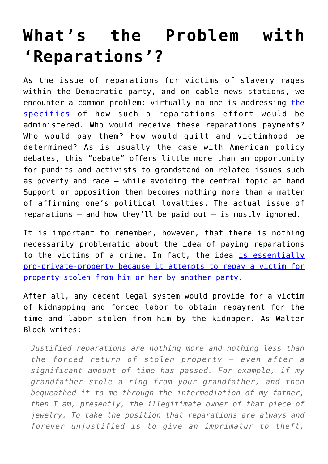## **[What's the Problem with](https://intellectualtakeout.org/2019/03/whats-the-problem-with-reparations/) ['Reparations'?](https://intellectualtakeout.org/2019/03/whats-the-problem-with-reparations/)**

As the issue of reparations for victims of slavery rages within the Democratic party, and on cable news stations, we encounter a common problem: virtually no one is addressing [the](https://www.usnews.com/news/politics/articles/2019-02-27/2020-democrats-support-for-reparations-lacks-details) [specifics](https://www.usnews.com/news/politics/articles/2019-02-27/2020-democrats-support-for-reparations-lacks-details) of how such a reparations effort would be administered. Who would receive these reparations payments? Who would pay them? How would guilt and victimhood be determined? As is usually the case with American policy debates, this "debate" offers little more than an opportunity for pundits and activists to grandstand on related issues such as poverty and race — while avoiding the central topic at hand Support or opposition then becomes nothing more than a matter of affirming one's political loyalties. The actual issue of reparations  $-$  and how they'll be paid out  $-$  is mostly ignored.

It is important to remember, however, that there is nothing necessarily problematic about the idea of paying reparations to the victims of a crime. In fact, the idea [is essentially](https://mises.org/library/10-reparations) [pro-private-property because it attempts to repay a victim for](https://mises.org/library/10-reparations) [property stolen from him or her by another party.](https://mises.org/library/10-reparations)

After all, any decent legal system would provide for a victim of kidnapping and forced labor to obtain repayment for the time and labor stolen from him by the kidnaper. As Walter Block writes:

*Justified reparations are nothing more and nothing less than the forced return of stolen property — even after a significant amount of time has passed. For example, if my grandfather stole a ring from your grandfather, and then bequeathed it to me through the intermediation of my father, then I am, presently, the illegitimate owner of that piece of jewelry. To take the position that reparations are always and forever unjustified is to give an imprimatur to theft,*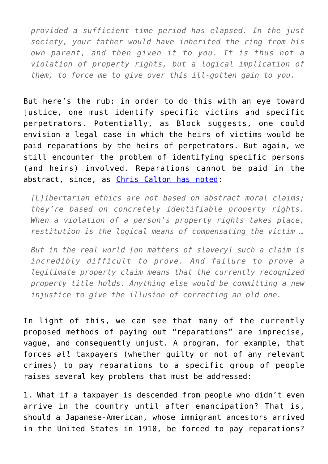*provided a sufficient time period has elapsed. In the just society, your father would have inherited the ring from his own parent, and then given it to you. It is thus not a violation of property rights, but a logical implication of them, to force me to give over this ill-gotten gain to you.*

But here's the rub: in order to do this with an eye toward justice, one must identify specific victims and specific perpetrators. Potentially, as Block suggests, one could envision a legal case in which the heirs of victims would be paid reparations by the heirs of perpetrators. But again, we still encounter the problem of identifying specific persons (and heirs) involved. Reparations cannot be paid in the abstract, since, as [Chris Calton has noted:](https://mises.org/wire/reparations-vs-property-rights)

*[L]ibertarian ethics are not based on abstract moral claims; they're based on concretely identifiable property rights. When a violation of a person's property rights takes place, restitution is the logical means of compensating the victim …*

*But in the real world [on matters of slavery] such a claim is incredibly difficult to prove. And failure to prove a legitimate property claim means that the currently recognized property title holds. Anything else would be committing a new injustice to give the illusion of correcting an old one.*

In light of this, we can see that many of the currently proposed methods of paying out "reparations" are imprecise, vague, and consequently unjust. A program, for example, that forces *all* taxpayers (whether guilty or not of any relevant crimes) to pay reparations to a specific group of people raises several key problems that must be addressed:

1. What if a taxpayer is descended from people who didn't even arrive in the country until after emancipation? That is, should a Japanese-American, whose immigrant ancestors arrived in the United States in 1910, be forced to pay reparations?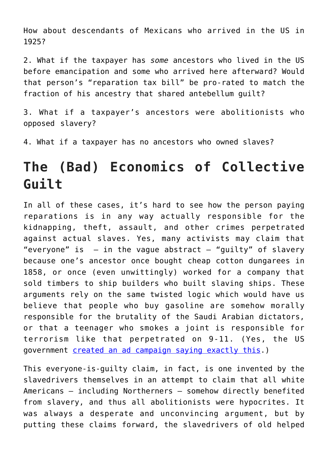How about descendants of Mexicans who arrived in the US in 1925?

2. What if the taxpayer has *some* ancestors who lived in the US before emancipation and some who arrived here afterward? Would that person's "reparation tax bill" be pro-rated to match the fraction of his ancestry that shared antebellum guilt?

3. What if a taxpayer's ancestors were abolitionists who opposed slavery?

4. What if a taxpayer has no ancestors who owned slaves?

## **The (Bad) Economics of Collective Guilt**

In all of these cases, it's hard to see how the person paying reparations is in any way actually responsible for the kidnapping, theft, assault, and other crimes perpetrated against actual slaves. Yes, many activists may claim that "everyone" is  $-$  in the vague abstract  $-$  "guilty" of slavery because one's ancestor once bought cheap cotton dungarees in 1858, or once (even unwittingly) worked for a company that sold timbers to ship builders who built slaving ships. These arguments rely on the same twisted logic which would have us believe that people who buy gasoline are somehow morally responsible for the brutality of the Saudi Arabian dictators, or that a teenager who smokes a joint is responsible for terrorism like that perpetrated on 9-11. (Yes, the US government [created an ad campaign saying exactly this](http://www.drugpolicy.org/news/2003/04/drug-czar-cancels-misleading-drugs-terrorism-ad-campaign).)

This everyone-is-guilty claim, in fact, is one invented by the slavedrivers themselves in an attempt to claim that all white Americans — including Northerners — somehow directly benefited from slavery, and thus all abolitionists were hypocrites. It was always a desperate and unconvincing argument, but by putting these claims forward, the slavedrivers of old helped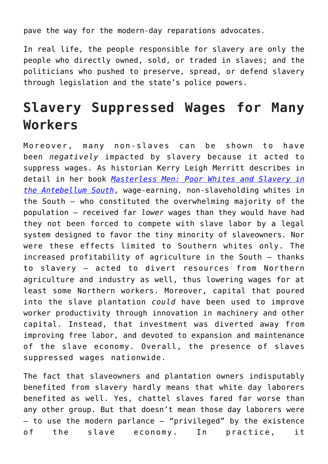pave the way for the modern-day reparations advocates.

In real life, the people responsible for slavery are only the people who directly owned, sold, or traded in slaves; and the politicians who pushed to preserve, spread, or defend slavery through legislation and the state's police powers.

## **Slavery Suppressed Wages for Many Workers**

Moreover, many non-slaves can be shown to have been *negatively* impacted by slavery because it acted to suppress wages. As historian Kerry Leigh Merritt describes in detail in her book *[Masterless Men: Poor Whites and Slavery in](https://www.amazon.com/Masterless-Men-Antebellum-Cambridge-American/dp/110718424X/?tag=misesinsti-20) [the Antebellum South](https://www.amazon.com/Masterless-Men-Antebellum-Cambridge-American/dp/110718424X/?tag=misesinsti-20)*, wage-earning, non-slaveholding whites in the South — who constituted the overwhelming majority of the population — received far *lower* wages than they would have had they not been forced to compete with slave labor by a legal system designed to favor the tiny minority of slaveowners. Nor were these effects limited to Southern whites only. The increased profitability of agriculture in the South — thanks to slavery — acted to divert resources from Northern agriculture and industry as well, thus lowering wages for at least some Northern workers. Moreover, capital that poured into the slave plantation *could* have been used to improve worker productivity through innovation in machinery and other capital. Instead, that investment was diverted away from improving free labor, and devoted to expansion and maintenance of the slave economy. Overall, the presence of slaves suppressed wages nationwide.

The fact that slaveowners and plantation owners indisputably benefited from slavery hardly means that white day laborers benefited as well. Yes, chattel slaves fared far worse than any other group. But that doesn't mean those day laborers were  $-$  to use the modern parlance  $-$  "privileged" by the existence of the slave economy. In practice, it